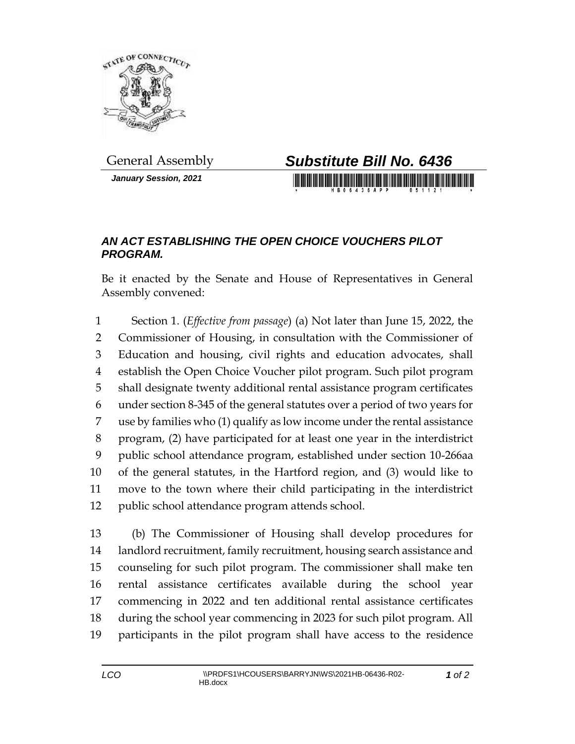

*January Session, 2021*



## *AN ACT ESTABLISHING THE OPEN CHOICE VOUCHERS PILOT PROGRAM.*

Be it enacted by the Senate and House of Representatives in General Assembly convened:

 Section 1. (*Effective from passage*) (a) Not later than June 15, 2022, the Commissioner of Housing, in consultation with the Commissioner of Education and housing, civil rights and education advocates, shall establish the Open Choice Voucher pilot program. Such pilot program shall designate twenty additional rental assistance program certificates under section 8-345 of the general statutes over a period of two years for use by families who (1) qualify as low income under the rental assistance program, (2) have participated for at least one year in the interdistrict public school attendance program, established under section 10-266aa of the general statutes, in the Hartford region, and (3) would like to move to the town where their child participating in the interdistrict public school attendance program attends school.

 (b) The Commissioner of Housing shall develop procedures for landlord recruitment, family recruitment, housing search assistance and counseling for such pilot program. The commissioner shall make ten rental assistance certificates available during the school year commencing in 2022 and ten additional rental assistance certificates during the school year commencing in 2023 for such pilot program. All participants in the pilot program shall have access to the residence